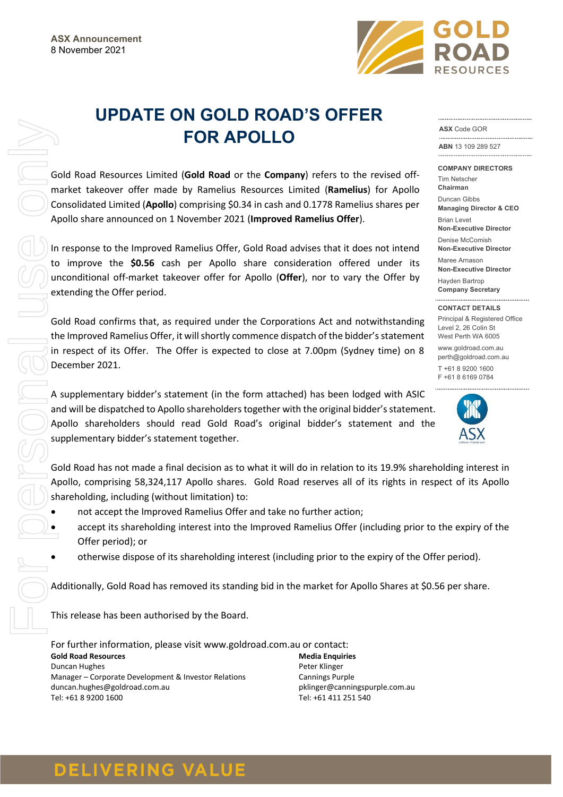

# **UPDATE ON GOLD ROAD'S OFFER FOR APOLLO**

Gold Road Resources Limited (**Gold Road** or the **Company**) refers to the revised offmarket takeover offer made by Ramelius Resources Limited (**Ramelius**) for Apollo Consolidated Limited (**Apollo**) comprising \$0.34 in cash and 0.1778 Ramelius shares per Apollo share announced on 1 November 2021 (**Improved Ramelius Offer**).

In response to the Improved Ramelius Offer, Gold Road advises that it does not intend to improve the **\$0.56** cash per Apollo share consideration offered under its unconditional off-market takeover offer for Apollo (**Offer**), nor to vary the Offer by extending the Offer period.

Gold Road confirms that, as required under the Corporations Act and notwithstanding the Improved Ramelius Offer, it will shortly commence dispatch of the bidder's statement in respect of its Offer. The Offer is expected to close at 7.00pm (Sydney time) on 8 December 2021.

A supplementary bidder's statement (in the form attached) has been lodged with ASIC and will be dispatched to Apollo shareholders together with the original bidder's statement. Apollo shareholders should read Gold Road's original bidder's statement and the supplementary bidder's statement together.

Gold Road has not made a final decision as to what it will do in relation to its 19.9% shareholding interest in Apollo, comprising 58,324,117 Apollo shares. Gold Road reserves all of its rights in respect of its Apollo shareholding, including (without limitation) to:

- not accept the Improved Ramelius Offer and take no further action;
- accept its shareholding interest into the Improved Ramelius Offer (including prior to the expiry of the Offer period); or
- otherwise dispose of its shareholding interest (including prior to the expiry of the Offer period).

Additionally, Gold Road has removed its standing bid in the market for Apollo Shares at \$0.56 per share.

This release has been authorised by the Board.

For further information, please visit www.goldroad.com.au or contact: **Gold Road Resources** Duncan Hughes Manager – Corporate Development & Investor Relations duncan.hughes@goldroad.com.au Tel: +61 8 9200 1600 **Media Enquiries** Peter Klinger Cannings Purple

pklinger@canningspurple.com.au Tel: +61 411 251 540

#### **ASX** Code GOR

**ABN** 13 109 289 527

**COMPANY DIRECTORS** Tim Netscher **Chairman** Duncan Gibbs **Managing Director & CEO** Brian Levet **Non-Executive Director**

Denise McComish **Non-Executive Director**

Maree Arnason **Non-Executive Director** Hayden Bartrop **Company Secretary**

**CONTACT DETAILS** Principal & Registered Office Level 2, 26 Colin St West Perth WA 6005 www.goldroad.com.au

perth@goldroad.com.au T +61 8 9200 1600 F +61 8 6169 0784



## **DELIVERING VALUE**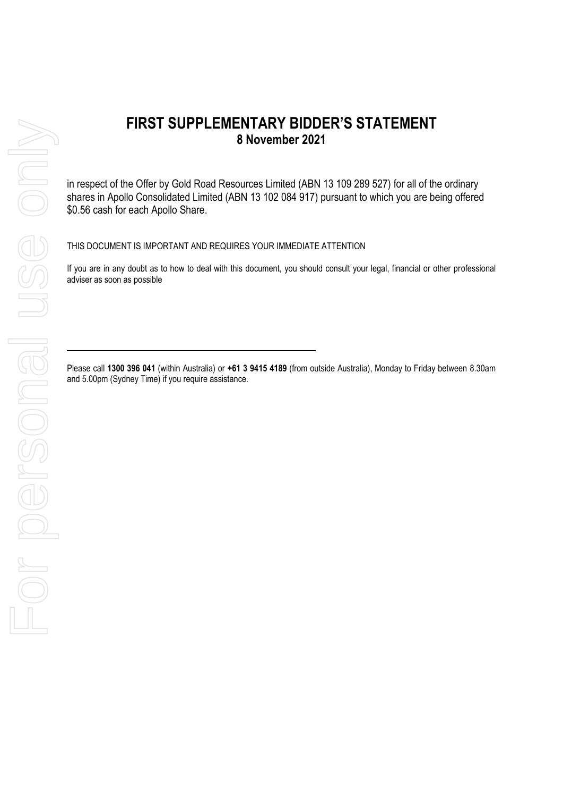in respect of the Offer by Gold Road Resources Limited (ABN 13 109 289 527) for all of the ordinary shares in Apollo Consolidated Limited (ABN 13 102 084 917) pursuant to which you are being offered \$0.56 cash for each Apollo Share.

THIS DOCUMENT IS IMPORTANT AND REQUIRES YOUR IMMEDIATE ATTENTION

If you are in any doubt as to how to deal with this document, you should consult your legal, financial or other professional adviser as soon as possible

Please call **1300 396 041** (within Australia) or **+61 3 9415 4189** (from outside Australia), Monday to Friday between 8.30am and 5.00pm (Sydney Time) if you require assistance.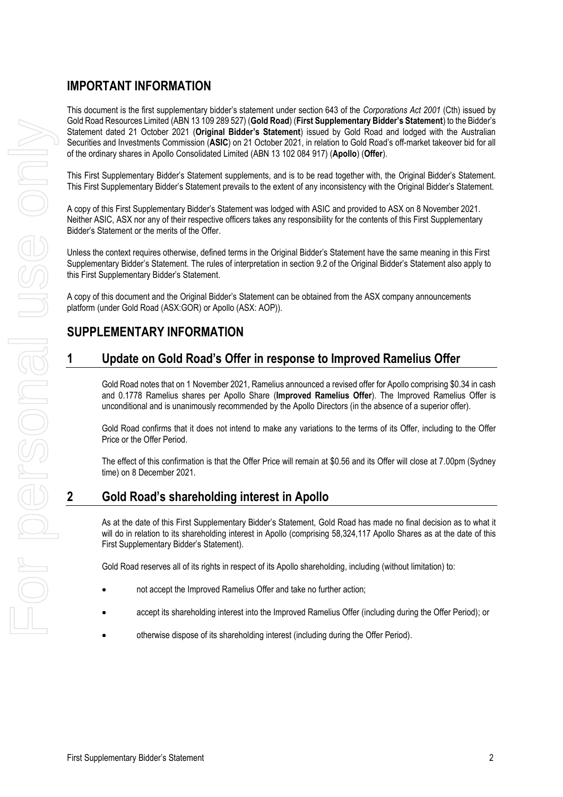#### **IMPORTANT INFORMATION**

This document is the first supplementary bidder's statement under section 643 of the *Corporations Act 2001* (Cth) issued by Gold Road Resources Limited (ABN 13 109 289 527) (**Gold Road**) (**First Supplementary Bidder's Statement**) to the Bidder's Statement dated 21 October 2021 (**Original Bidder's Statement**) issued by Gold Road and lodged with the Australian Securities and Investments Commission (**ASIC**) on 21 October 2021, in relation to Gold Road's off-market takeover bid for all of the ordinary shares in Apollo Consolidated Limited (ABN 13 102 084 917) (**Apollo**) (**Offer**).

This First Supplementary Bidder's Statement supplements, and is to be read together with, the Original Bidder's Statement. This First Supplementary Bidder's Statement prevails to the extent of any inconsistency with the Original Bidder's Statement.

A copy of this First Supplementary Bidder's Statement was lodged with ASIC and provided to ASX on 8 November 2021. Neither ASIC, ASX nor any of their respective officers takes any responsibility for the contents of this First Supplementary Bidder's Statement or the merits of the Offer.

Unless the context requires otherwise, defined terms in the Original Bidder's Statement have the same meaning in this First Supplementary Bidder's Statement. The rules of interpretation in section 9.2 of the Original Bidder's Statement also apply to this First Supplementary Bidder's Statement.

A copy of this document and the Original Bidder's Statement can be obtained from the ASX company announcements platform (under Gold Road (ASX:GOR) or Apollo (ASX: AOP)).

#### **SUPPLEMENTARY INFORMATION**

#### **1 Update on Gold Road's Offer in response to Improved Ramelius Offer**

Gold Road notes that on 1 November 2021, Ramelius announced a revised offer for Apollo comprising \$0.34 in cash and 0.1778 Ramelius shares per Apollo Share (**Improved Ramelius Offer**). The Improved Ramelius Offer is unconditional and is unanimously recommended by the Apollo Directors (in the absence of a superior offer).

Gold Road confirms that it does not intend to make any variations to the terms of its Offer, including to the Offer Price or the Offer Period.

The effect of this confirmation is that the Offer Price will remain at \$0.56 and its Offer will close at 7.00pm (Sydney time) on 8 December 2021.

#### **2 Gold Road's shareholding interest in Apollo**

As at the date of this First Supplementary Bidder's Statement, Gold Road has made no final decision as to what it will do in relation to its shareholding interest in Apollo (comprising 58,324,117 Apollo Shares as at the date of this First Supplementary Bidder's Statement).

Gold Road reserves all of its rights in respect of its Apollo shareholding, including (without limitation) to:

- not accept the Improved Ramelius Offer and take no further action;
- accept its shareholding interest into the Improved Ramelius Offer (including during the Offer Period); or
- otherwise dispose of its shareholding interest (including during the Offer Period).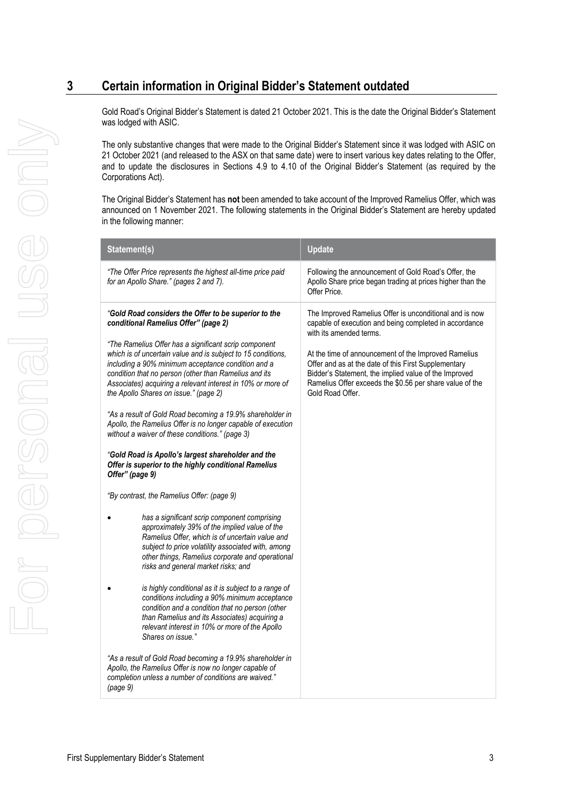### **3 Certain information in Original Bidder's Statement outdated**

Gold Road's Original Bidder's Statement is dated 21 October 2021. This is the date the Original Bidder's Statement was lodged with ASIC.

The only substantive changes that were made to the Original Bidder's Statement since it was lodged with ASIC on 21 October 2021 (and released to the ASX on that same date) were to insert various key dates relating to the Offer, and to update the disclosures in Sections 4.9 to 4.10 of the Original Bidder's Statement (as required by the Corporations Act).

The Original Bidder's Statement has **not** been amended to take account of the Improved Ramelius Offer, which was announced on 1 November 2021. The following statements in the Original Bidder's Statement are hereby updated in the following manner:

| Statement(s)                                                                                                                                                                                                                                                                                                                                                                                                                                                                                                                                                                                                                                                                                                                                                                                                                                                                                                                                                                                                                                                                                                                                                                                                                                                                                                                                                                                                                                                                                                                                                                                     | <b>Update</b>                                                                                                                                                                                                                                                                                                                                                                                         |
|--------------------------------------------------------------------------------------------------------------------------------------------------------------------------------------------------------------------------------------------------------------------------------------------------------------------------------------------------------------------------------------------------------------------------------------------------------------------------------------------------------------------------------------------------------------------------------------------------------------------------------------------------------------------------------------------------------------------------------------------------------------------------------------------------------------------------------------------------------------------------------------------------------------------------------------------------------------------------------------------------------------------------------------------------------------------------------------------------------------------------------------------------------------------------------------------------------------------------------------------------------------------------------------------------------------------------------------------------------------------------------------------------------------------------------------------------------------------------------------------------------------------------------------------------------------------------------------------------|-------------------------------------------------------------------------------------------------------------------------------------------------------------------------------------------------------------------------------------------------------------------------------------------------------------------------------------------------------------------------------------------------------|
| "The Offer Price represents the highest all-time price paid<br>for an Apollo Share." (pages 2 and 7).                                                                                                                                                                                                                                                                                                                                                                                                                                                                                                                                                                                                                                                                                                                                                                                                                                                                                                                                                                                                                                                                                                                                                                                                                                                                                                                                                                                                                                                                                            | Following the announcement of Gold Road's Offer, the<br>Apollo Share price began trading at prices higher than the<br>Offer Price                                                                                                                                                                                                                                                                     |
| "Gold Road considers the Offer to be superior to the<br>conditional Ramelius Offer" (page 2)<br>"The Ramelius Offer has a significant scrip component<br>which is of uncertain value and is subject to 15 conditions,<br>including a 90% minimum acceptance condition and a<br>condition that no person (other than Ramelius and its<br>Associates) acquiring a relevant interest in 10% or more of<br>the Apollo Shares on issue." (page 2)<br>"As a result of Gold Road becoming a 19.9% shareholder in<br>Apollo, the Ramelius Offer is no longer capable of execution<br>without a waiver of these conditions." (page 3)<br>"Gold Road is Apollo's largest shareholder and the<br>Offer is superior to the highly conditional Ramelius<br>Offer" (page 9)<br>"By contrast, the Ramelius Offer: (page 9)<br>has a significant scrip component comprising<br>approximately 39% of the implied value of the<br>Ramelius Offer, which is of uncertain value and<br>subject to price volatility associated with, among<br>other things, Ramelius corporate and operational<br>risks and general market risks; and<br>is highly conditional as it is subject to a range of<br>conditions including a 90% minimum acceptance<br>condition and a condition that no person (other<br>than Ramelius and its Associates) acquiring a<br>relevant interest in 10% or more of the Apollo<br>Shares on issue."<br>"As a result of Gold Road becoming a 19.9% shareholder in<br>Apollo, the Ramelius Offer is now no longer capable of<br>completion unless a number of conditions are waived."<br>(page 9) | The Improved Ramelius Offer is unconditional and is now<br>capable of execution and being completed in accordance<br>with its amended terms.<br>At the time of announcement of the Improved Ramelius<br>Offer and as at the date of this First Supplementary<br>Bidder's Statement, the implied value of the Improved<br>Ramelius Offer exceeds the \$0.56 per share value of the<br>Gold Road Offer. |